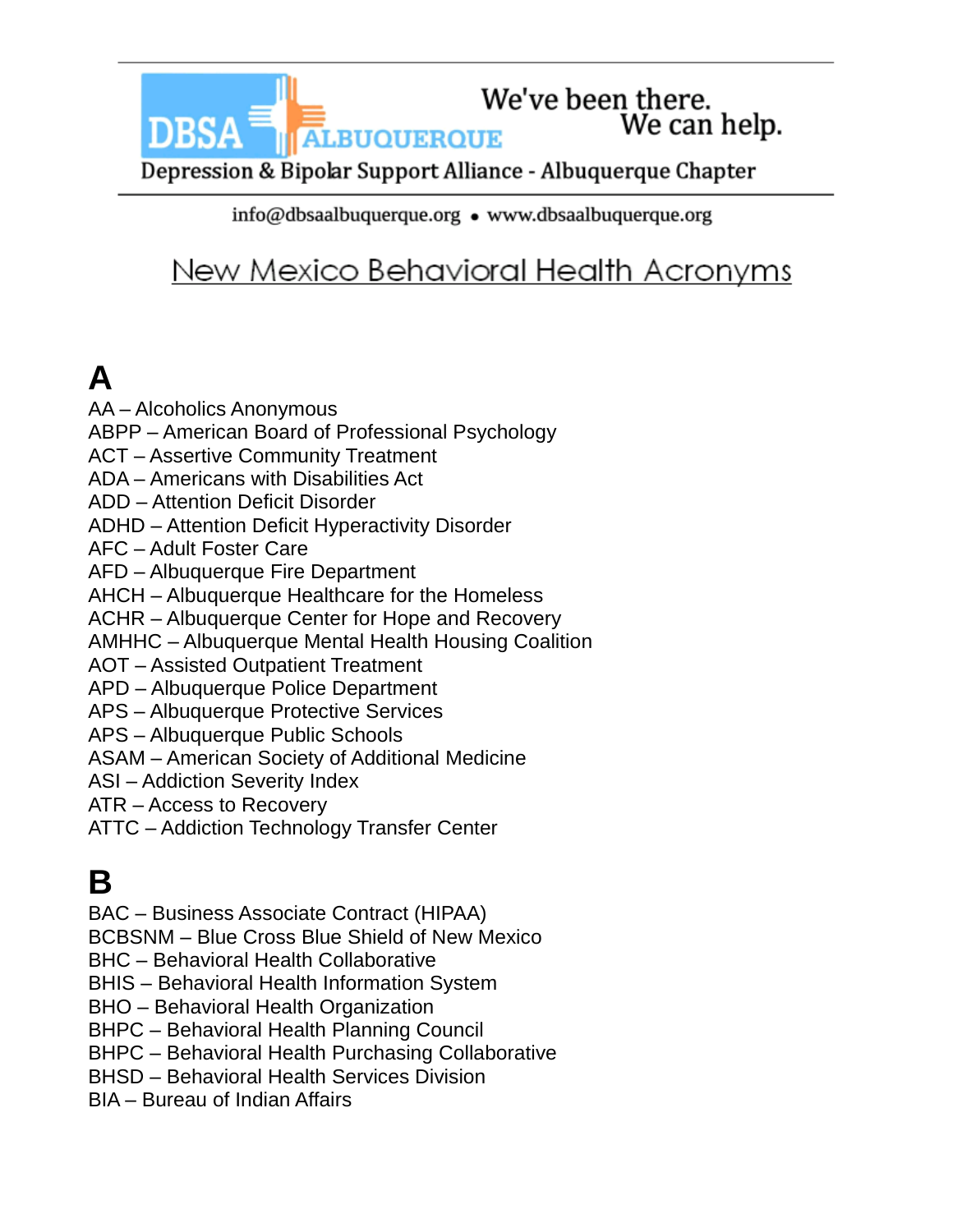We've been there. **ALBUQUERQUE** 

We can help.

Depression & Bipolar Support Alliance - Albuquerque Chapter

info@dbsaalbuquerque.org • www.dbsaalbuquerque.org

#### New Mexico Behavioral Health Acronyms

# **A**

AA – Alcoholics Anonymous ABPP – American Board of Professional Psychology

- ACT Assertive Community Treatment
- ADA Americans with Disabilities Act
- ADD Attention Deficit Disorder
- ADHD Attention Deficit Hyperactivity Disorder
- AFC Adult Foster Care

**DBSA** 

- AFD Albuquerque Fire Department
- AHCH Albuquerque Healthcare for the Homeless
- ACHR Albuquerque Center for Hope and Recovery
- AMHHC Albuquerque Mental Health Housing Coalition
- AOT Assisted Outpatient Treatment
- APD Albuquerque Police Department
- APS Albuquerque Protective Services
- APS Albuquerque Public Schools
- ASAM American Society of Additional Medicine
- ASI Addiction Severity Index
- ATR Access to Recovery
- ATTC Addiction Technology Transfer Center

## **B**

BAC – Business Associate Contract (HIPAA)

BCBSNM – Blue Cross Blue Shield of New Mexico

- BHC Behavioral Health Collaborative
- BHIS Behavioral Health Information System
- BHO Behavioral Health Organization
- BHPC Behavioral Health Planning Council
- BHPC Behavioral Health Purchasing Collaborative
- BHSD Behavioral Health Services Division
- BIA Bureau of Indian Affairs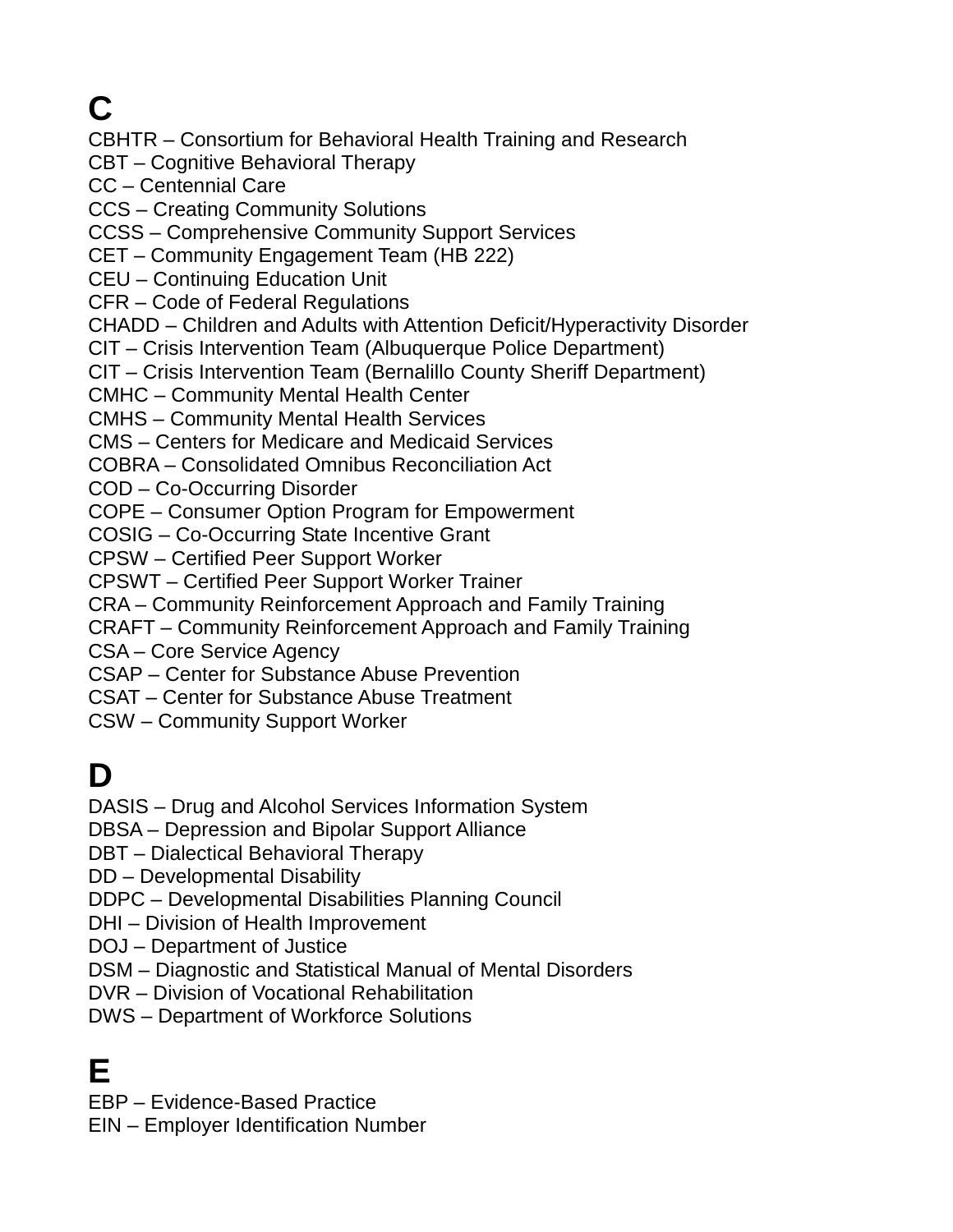## **C**

CBHTR – Consortium for Behavioral Health Training and Research

CBT – Cognitive Behavioral Therapy

CC – Centennial Care

CCS – Creating Community Solutions

CCSS – Comprehensive Community Support Services

CET – Community Engagement Team (HB 222)

CEU – Continuing Education Unit

CFR – Code of Federal Regulations

CHADD – Children and Adults with Attention Deficit/Hyperactivity Disorder

CIT – Crisis Intervention Team (Albuquerque Police Department)

CIT – Crisis Intervention Team (Bernalillo County Sheriff Department)

CMHC – Community Mental Health Center

CMHS – Community Mental Health Services

CMS – Centers for Medicare and Medicaid Services

COBRA – Consolidated Omnibus Reconciliation Act

COD – Co-Occurring Disorder

COPE – Consumer Option Program for Empowerment

COSIG – Co-Occurring State Incentive Grant

CPSW – Certified Peer Support Worker

CPSWT – Certified Peer Support Worker Trainer

CRA – Community Reinforcement Approach and Family Training

CRAFT – Community Reinforcement Approach and Family Training

CSA – Core Service Agency

CSAP – Center for Substance Abuse Prevention

CSAT – Center for Substance Abuse Treatment

CSW – Community Support Worker

### **D**

DASIS – Drug and Alcohol Services Information System

DBSA – Depression and Bipolar Support Alliance

DBT – Dialectical Behavioral Therapy

DD – Developmental Disability

DDPC – Developmental Disabilities Planning Council

DHI – Division of Health Improvement

DOJ – Department of Justice

DSM – Diagnostic and Statistical Manual of Mental Disorders

DVR – Division of Vocational Rehabilitation

DWS – Department of Workforce Solutions

### **E**

EBP – Evidence-Based Practice

EIN – Employer Identification Number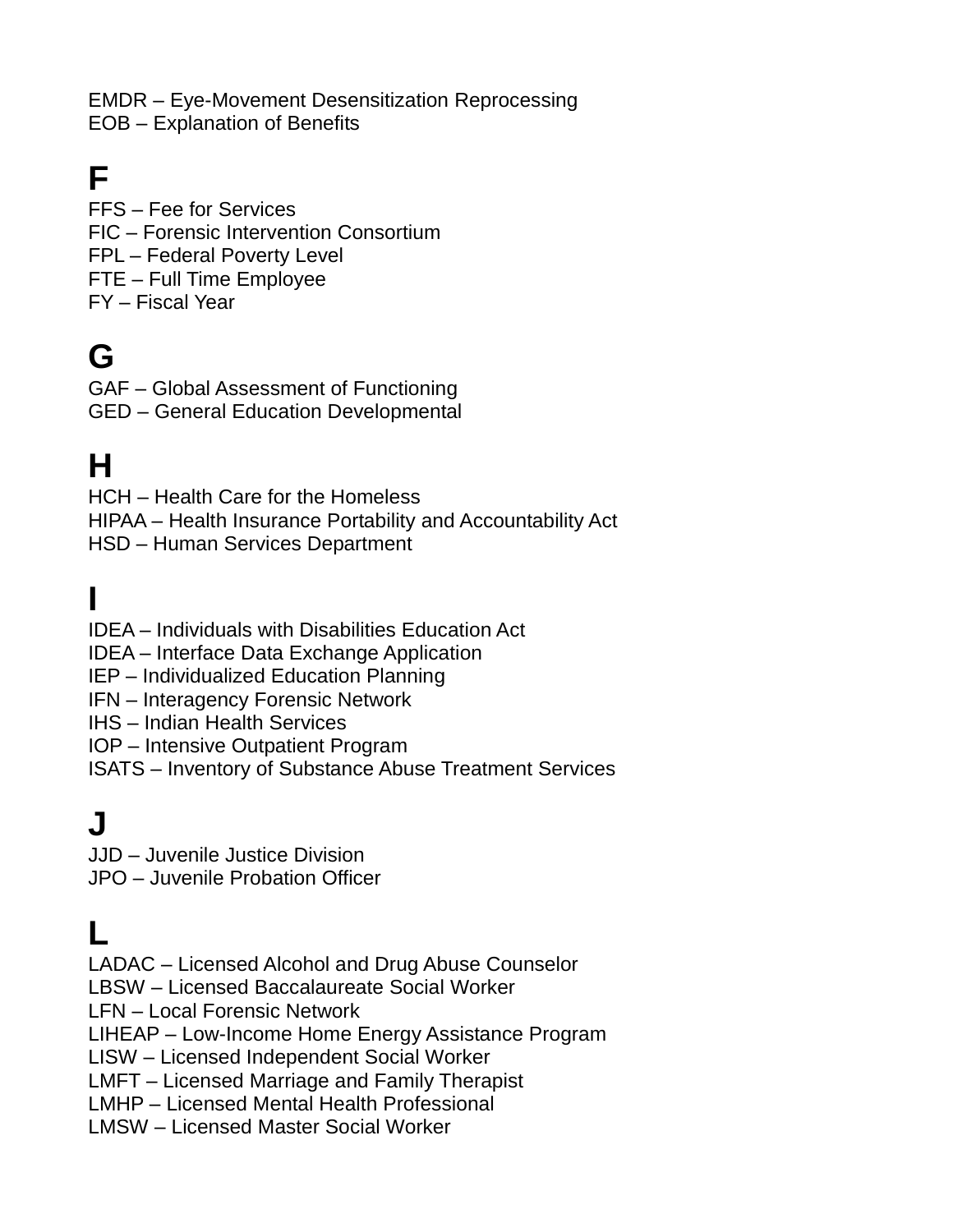EMDR – Eye-Movement Desensitization Reprocessing EOB – Explanation of Benefits

### **F**

FFS – Fee for Services FIC – Forensic Intervention Consortium FPL – Federal Poverty Level FTE – Full Time Employee FY – Fiscal Year

#### **G**

GAF – Global Assessment of Functioning GED – General Education Developmental

#### **H**

HCH – Health Care for the Homeless HIPAA – Health Insurance Portability and Accountability Act HSD – Human Services Department

## **I**

IDEA – Individuals with Disabilities Education Act IDEA – Interface Data Exchange Application IEP – Individualized Education Planning IFN – Interagency Forensic Network IHS – Indian Health Services IOP – Intensive Outpatient Program

ISATS – Inventory of Substance Abuse Treatment Services

#### **J**

JJD – Juvenile Justice Division JPO – Juvenile Probation Officer

#### **L**

LADAC – Licensed Alcohol and Drug Abuse Counselor

LBSW – Licensed Baccalaureate Social Worker

LFN – Local Forensic Network

LIHEAP – Low-Income Home Energy Assistance Program

LISW – Licensed Independent Social Worker

LMFT – Licensed Marriage and Family Therapist

LMHP – Licensed Mental Health Professional

LMSW – Licensed Master Social Worker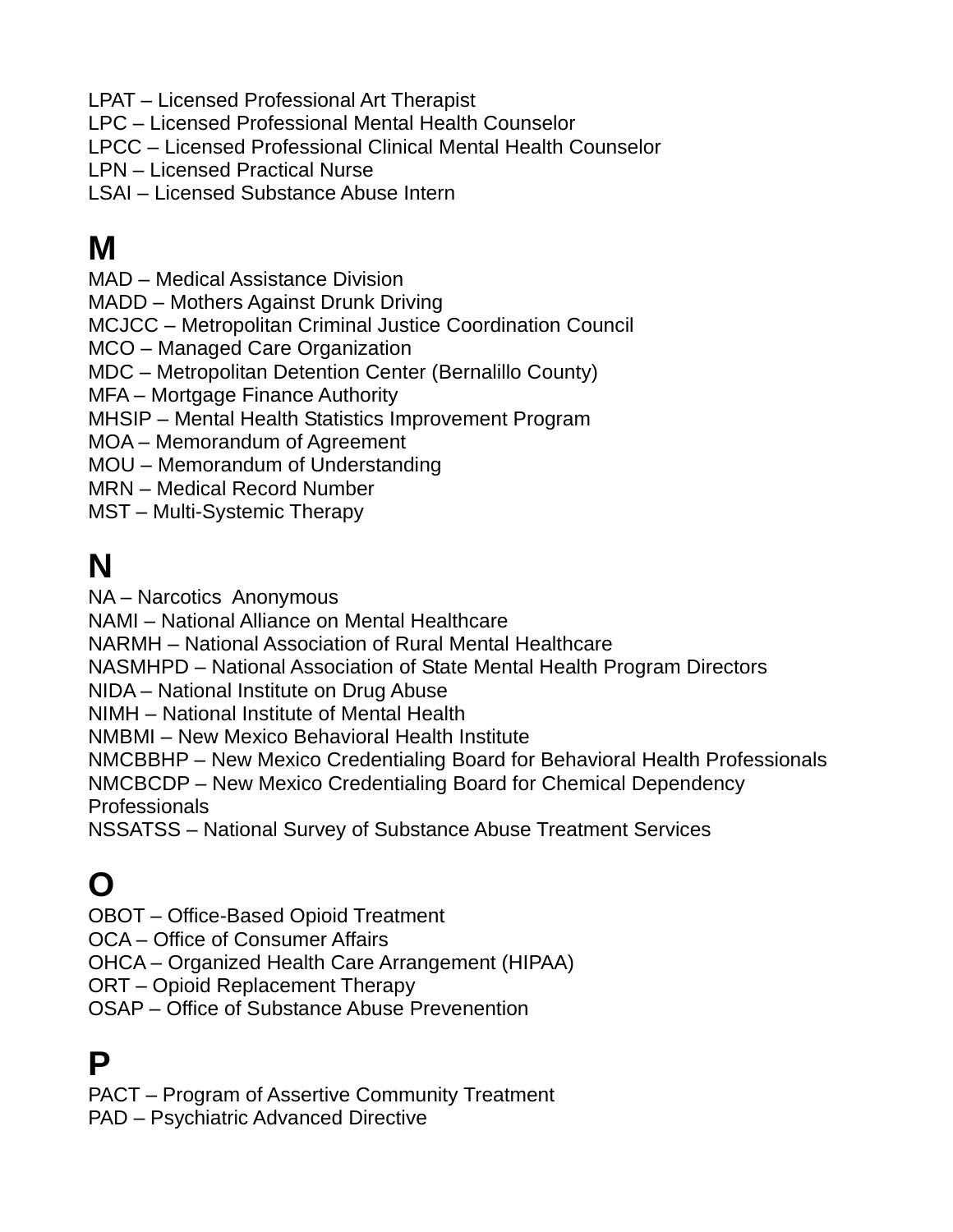LPAT – Licensed Professional Art Therapist

LPC – Licensed Professional Mental Health Counselor

LPCC – Licensed Professional Clinical Mental Health Counselor

LPN – Licensed Practical Nurse

LSAI – Licensed Substance Abuse Intern

### **M**

MAD – Medical Assistance Division

MADD – Mothers Against Drunk Driving

MCJCC – Metropolitan Criminal Justice Coordination Council

MCO – Managed Care Organization

MDC – Metropolitan Detention Center (Bernalillo County)

MFA – Mortgage Finance Authority

MHSIP – Mental Health Statistics Improvement Program

MOA – Memorandum of Agreement

MOU – Memorandum of Understanding

MRN – Medical Record Number

MST – Multi-Systemic Therapy

### **N**

NA – Narcotics Anonymous

NAMI – National Alliance on Mental Healthcare

NARMH – National Association of Rural Mental Healthcare

NASMHPD – National Association of State Mental Health Program Directors

NIDA – National Institute on Drug Abuse

NIMH – National Institute of Mental Health

NMBMI – New Mexico Behavioral Health Institute

NMCBBHP – New Mexico Credentialing Board for Behavioral Health Professionals

NMCBCDP – New Mexico Credentialing Board for Chemical Dependency Professionals

NSSATSS – National Survey of Substance Abuse Treatment Services

### **O**

OBOT – Office-Based Opioid Treatment

OCA – Office of Consumer Affairs

OHCA – Organized Health Care Arrangement (HIPAA)

ORT – Opioid Replacement Therapy

OSAP – Office of Substance Abuse Prevenention

### **P**

PACT – Program of Assertive Community Treatment

PAD – Psychiatric Advanced Directive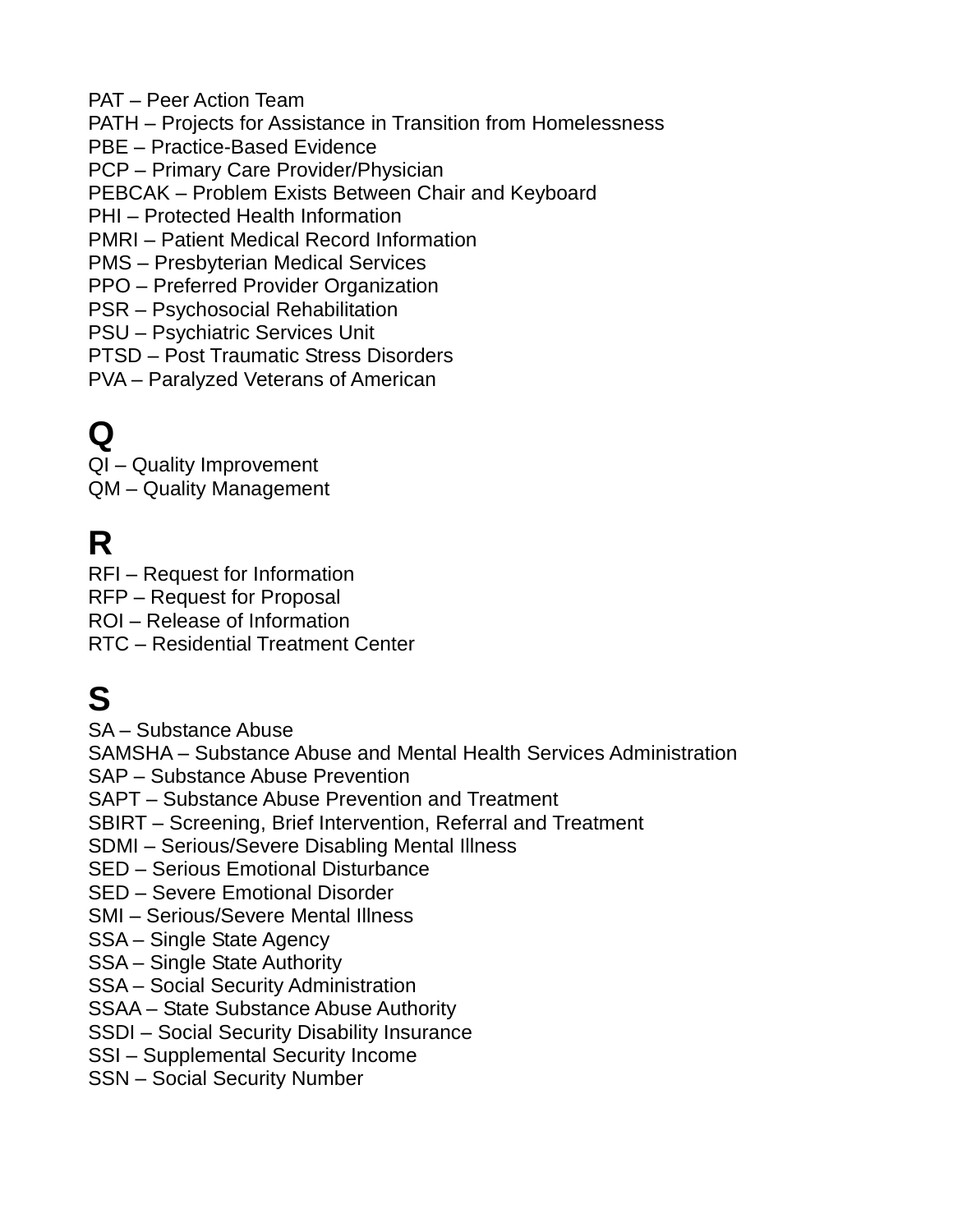- PAT Peer Action Team
- PATH Projects for Assistance in Transition from Homelessness
- PBE Practice-Based Evidence
- PCP Primary Care Provider/Physician
- PEBCAK Problem Exists Between Chair and Keyboard
- PHI Protected Health Information
- PMRI Patient Medical Record Information
- PMS Presbyterian Medical Services
- PPO Preferred Provider Organization
- PSR Psychosocial Rehabilitation
- PSU Psychiatric Services Unit
- PTSD Post Traumatic Stress Disorders
- PVA Paralyzed Veterans of American

### **Q**

QI – Quality Improvement

QM – Quality Management

### **R**

RFI – Request for Information

- RFP Request for Proposal
- ROI Release of Information
- RTC Residential Treatment Center

## **S**

SA – Substance Abuse

SAMSHA – Substance Abuse and Mental Health Services Administration

SAP – Substance Abuse Prevention

SAPT – Substance Abuse Prevention and Treatment

- SBIRT Screening, Brief Intervention, Referral and Treatment
- SDMI Serious/Severe Disabling Mental Illness
- SED Serious Emotional Disturbance
- SED Severe Emotional Disorder
- SMI Serious/Severe Mental Illness
- SSA Single State Agency
- SSA Single State Authority
- SSA Social Security Administration
- SSAA State Substance Abuse Authority
- SSDI Social Security Disability Insurance
- SSI Supplemental Security Income
- SSN Social Security Number